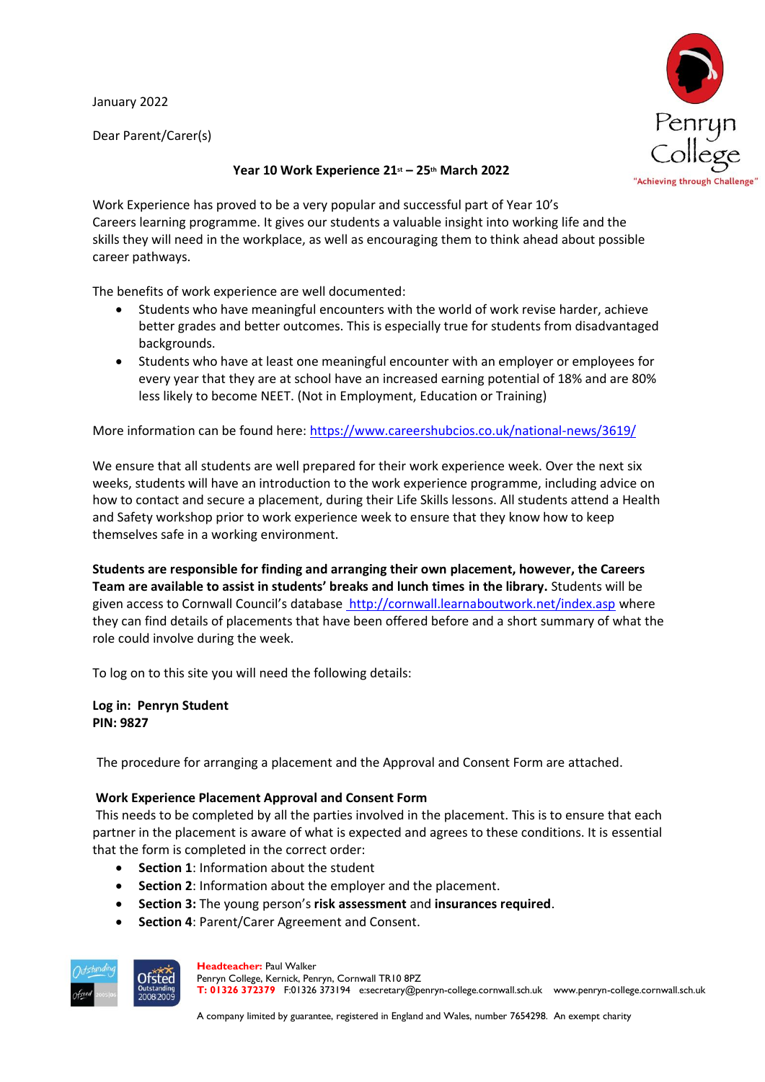January 2022

Dear Parent/Carer(s)



## **Year 10 Work Experience 21st – 25th March 2022**

Work Experience has proved to be a very popular and successful part of Year 10's Careers learning programme. It gives our students a valuable insight into working life and the skills they will need in the workplace, as well as encouraging them to think ahead about possible career pathways.

The benefits of work experience are well documented:

- Students who have meaningful encounters with the world of work revise harder, achieve better grades and better outcomes. This is especially true for students from disadvantaged backgrounds.
- Students who have at least one meaningful encounter with an employer or employees for every year that they are at school have an increased earning potential of 18% and are 80% less likely to become NEET. (Not in Employment, Education or Training)

More information can be found here: <https://www.careershubcios.co.uk/national-news/3619/>

We ensure that all students are well prepared for their work experience week. Over the next six weeks, students will have an introduction to the work experience programme, including advice on how to contact and secure a placement, during their Life Skills lessons. All students attend a Health and Safety workshop prior to work experience week to ensure that they know how to keep themselves safe in a working environment.

**Students are responsible for finding and arranging their own placement, however, the Careers Team are available to assist in students' breaks and lunch times in the library.** Students will be given access to Cornwall Council's database <http://cornwall.learnaboutwork.net/index.asp> where they can find details of placements that have been offered before and a short summary of what the role could involve during the week.

To log on to this site you will need the following details:

**Log in: Penryn Student PIN: 9827**

The procedure for arranging a placement and the Approval and Consent Form are attached.

## **Work Experience Placement Approval and Consent Form**

This needs to be completed by all the parties involved in the placement. This is to ensure that each partner in the placement is aware of what is expected and agrees to these conditions. It is essential that the form is completed in the correct order:

- **Section 1**: Information about the student
- **Section 2**: Information about the employer and the placement.
- **Section 3:** The young person's **risk assessment** and **insurances required**.
- **Section 4**: Parent/Carer Agreement and Consent.